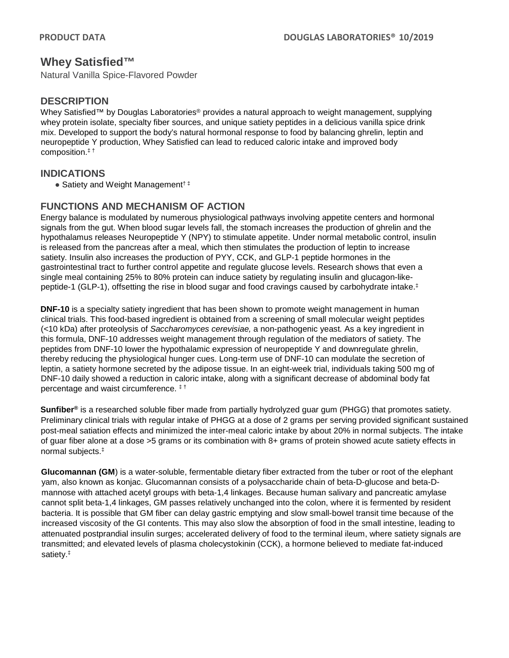# **Whey Satisfied™**

Natural Vanilla Spice-Flavored Powder

## **DESCRIPTION**

Whey Satisfied™ by Douglas Laboratories<sup>®</sup> provides a natural approach to weight management, supplying whey protein isolate, specialty fiber sources, and unique satiety peptides in a delicious vanilla spice drink mix. Developed to support the body's natural hormonal response to food by balancing ghrelin, leptin and neuropeptide Y production, Whey Satisfied can lead to reduced caloric intake and improved body composition. ‡ †

## **INDICATIONS**

● Satiety and Weight Management<sup>†‡</sup>

## **FUNCTIONS AND MECHANISM OF ACTION**

Energy balance is modulated by numerous physiological pathways involving appetite centers and hormonal signals from the gut. When blood sugar levels fall, the stomach increases the production of ghrelin and the hypothalamus releases Neuropeptide Y (NPY) to stimulate appetite. Under normal metabolic control, insulin is released from the pancreas after a meal, which then stimulates the production of leptin to increase satiety. Insulin also increases the production of PYY, CCK, and GLP-1 peptide hormones in the gastrointestinal tract to further control appetite and regulate glucose levels. Research shows that even a single meal containing 25% to 80% protein can induce satiety by regulating insulin and glucagon-likepeptide-1 (GLP-1), offsetting the rise in blood sugar and food cravings caused by carbohydrate intake.‡

**DNF-10** is a specialty satiety ingredient that has been shown to promote weight management in human clinical trials. This food-based ingredient is obtained from a screening of small molecular weight peptides (<10 kDa) after proteolysis of *Saccharomyces cerevisiae,* a non-pathogenic yeast*.* As a key ingredient in this formula, DNF-10 addresses weight management through regulation of the mediators of satiety. The peptides from DNF-10 lower the hypothalamic expression of neuropeptide Y and downregulate ghrelin, thereby reducing the physiological hunger cues. Long-term use of DNF-10 can modulate the secretion of leptin, a satiety hormone secreted by the adipose tissue. In an eight-week trial, individuals taking 500 mg of DNF-10 daily showed a reduction in caloric intake, along with a significant decrease of abdominal body fat percentage and waist circumference. ‡ †

**Sunfiber®** is a researched soluble fiber made from partially hydrolyzed guar gum (PHGG) that promotes satiety. Preliminary clinical trials with regular intake of PHGG at a dose of 2 grams per serving provided significant sustained post-meal satiation effects and minimized the inter-meal caloric intake by about 20% in normal subjects. The intake of guar fiber alone at a dose >5 grams or its combination with 8+ grams of protein showed acute satiety effects in normal subjects.‡

**Glucomannan (GM**) is a water-soluble, fermentable dietary fiber extracted from the tuber or root of the elephant yam, also known as konjac. Glucomannan consists of a polysaccharide chain of beta-D-glucose and beta-Dmannose with attached acetyl groups with beta-1,4 linkages. Because human salivary and pancreatic amylase cannot split beta-1,4 linkages, GM passes relatively unchanged into the colon, where it is fermented by resident bacteria. It is possible that GM fiber can delay gastric emptying and slow small-bowel transit time because of the increased viscosity of the GI contents. This may also slow the absorption of food in the small intestine, leading to attenuated postprandial insulin surges; accelerated delivery of food to the terminal ileum, where satiety signals are transmitted; and elevated levels of plasma cholecystokinin (CCK), a hormone believed to mediate fat-induced satiety.‡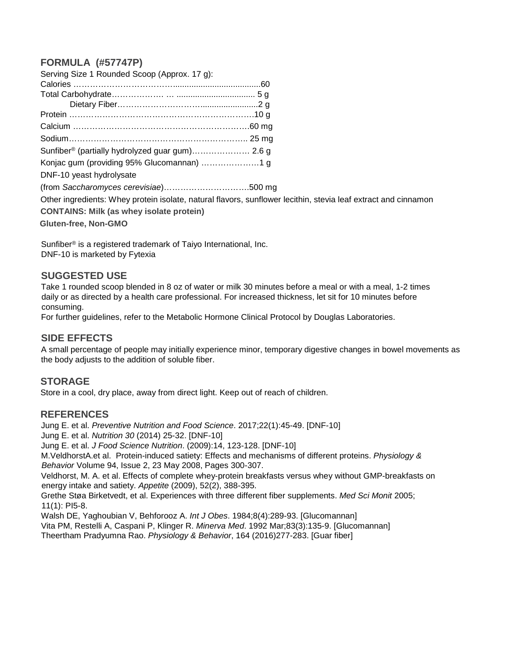## **FORMULA (#57747P)**

| Serving Size 1 Rounded Scoop (Approx. 17 g):    |                                                                                                                |
|-------------------------------------------------|----------------------------------------------------------------------------------------------------------------|
|                                                 |                                                                                                                |
|                                                 |                                                                                                                |
|                                                 |                                                                                                                |
|                                                 |                                                                                                                |
|                                                 |                                                                                                                |
|                                                 |                                                                                                                |
|                                                 |                                                                                                                |
|                                                 |                                                                                                                |
| DNF-10 yeast hydrolysate                        |                                                                                                                |
|                                                 |                                                                                                                |
|                                                 | Other ingredients: Whey protein isolate, natural flavors, sunflower lecithin, stevia leaf extract and cinnamon |
| <b>CONTAINS: Milk (as whey isolate protein)</b> |                                                                                                                |
| $Cl$ , $f_{\text{max}}$ Non $C1100$             |                                                                                                                |

**Gluten-free, Non-GMO**

Sunfiber® is a registered trademark of Taiyo International, Inc. DNF-10 is marketed by Fytexia

#### **SUGGESTED USE**

Take 1 rounded scoop blended in 8 oz of water or milk 30 minutes before a meal or with a meal, 1-2 times daily or as directed by a health care professional. For increased thickness, let sit for 10 minutes before consuming.

For further guidelines, refer to the Metabolic Hormone Clinical Protocol by Douglas Laboratories.

## **SIDE EFFECTS**

A small percentage of people may initially experience minor, temporary digestive changes in bowel movements as the body adjusts to the addition of soluble fiber.

#### **STORAGE**

Store in a cool, dry place, away from direct light. Keep out of reach of children.

#### **REFERENCES**

Jung E. et al. *Preventive Nutrition and Food Science*. 2017;22(1):45-49. [DNF-10] Jung E. et al. *Nutrition 30* (2014) 25-32. [DNF-10] Jung E. et al. *J Food Science Nutrition*. (2009):14, 123-128. [DNF-10] M.VeldhorstA.et al. Protein-induced satiety: Effects and mechanisms of different proteins. *Physiology & Behavior* Volume 94, Issue 2, 23 May 2008, Pages 300-307. Veldhorst, M. A. et al. Effects of complete whey-protein breakfasts versus whey without GMP-breakfasts on energy intake and satiety. *Appetite* (2009), 52(2), 388-395. Grethe Støa Birketvedt, et al. Experiences with three different fiber supplements. *Med Sci Monit* 2005; 11(1): PI5-8. Walsh DE, Yaghoubian V, Behforooz A. *Int J Obes*. 1984;8(4):289-93. [Glucomannan] Vita PM, Restelli A, Caspani P, Klinger R. *Minerva Med*. 1992 Mar;83(3):135-9. [Glucomannan]

Theertham Pradyumna Rao. *Physiology & Behavior*, 164 (2016)277-283. [Guar fiber]